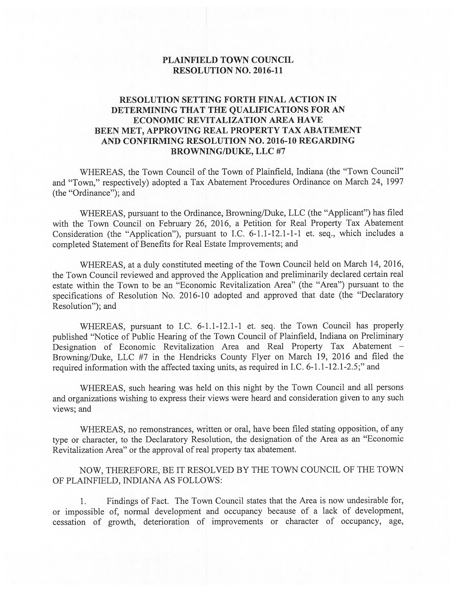### PLAINFIELD TOWN COUNCIL RESOLUTION NO. 2016-11

### RESOLUTION SETTING FORTH FINAL ACTION IN DETERMINING THAT THE QUALIFICATIONS FOR AN ECONOMIC REVITALIZATION AREA HAVE BEEN MET, APPROVING REAL PROPERTY TAX ABATEMENT AND CONFIRMING RESOLUTION NO. 2016-10 REGARDING BROWNING/DUKE, LLC #7

WHEREAS, the Town Council of the Town of Plainfield, Indiana (the "Town Council" and "Town," respectively) adopted a Tax Abatement Procedures Ordinance on March 24, 1997 (the "Ordinance"); and

WHEREAS, pursuant to the Ordinance, Browning/Duke, LLC (the "Applicant") has filed with the Town Council on February 26, 2016, a Petition for Real Property Tax Abatement Consideration (the "Application"), pursuant to I.C. 6-1.1-12.1-1-1 et. seq., which includes a completed Statement of Benefits for Real Estate Improvements; and

WHEREAS, at a duly constituted meeting of the Town Council held on March 14, 2016, the Town Council reviewed and approved the Application and preliminarily declared certain real estate within the Town to be an "Economic Revitalization Area" (the "Area") pursuant to the specifications of Resolution No. 2016-10 adopted and approved that date (the "Declaratory Resolution"); and

WHEREAS, pursuant to I.C. 6-1.1-12.1-1 et. seq. the Town Council has properly published "Notice of Public Hearing of the Town Council of Plainfield, Indiana on Preliminary Designation of Economic Revitalization Area and Real Property Tax Abatement — Browning/Duke, LLC #7 in the Hendricks County Flyer on March 19, 2016 and filed the required information with the affected taxing units, as required in I.C. 6-1.1-12.1-2.5;" and

WHEREAS, such hearing was held on this night by the Town Council and all persons and organizations wishing to express their views were heard and consideration given to any such views; and

WHEREAS, no remonstrances, written or oral, have been filed stating opposition, of any type or character, to the Declaratory Resolution, the designation of the Area as an "Economic Revitalization Area" or the approval of real property tax abatement.

NOW, THEREFORE, BE IT RESOLVED BY THE TOWN COUNCIL OF THE TOWN OF PLAINFIELD, INDIANA AS FOLLOWS:

1. Findings of Fact. The Town Council states that the Area is now undesirable for, or impossible of, normal development and occupancy because of a lack of development, cessation of growth, deterioration of improvements or character of occupancy, age,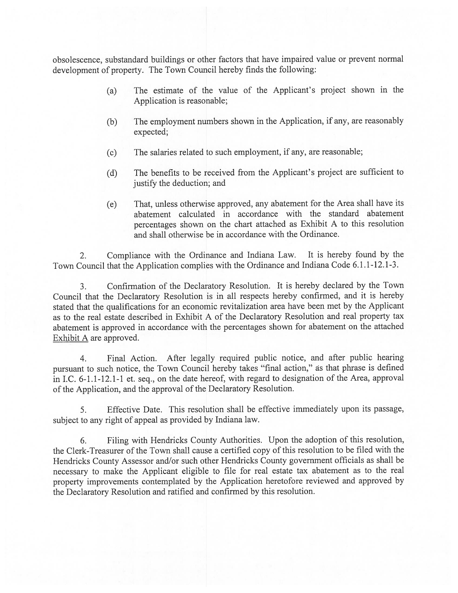obsolescence, substandard buildings or other factors that have impaired value or preven<sup>t</sup> normal development of property. The Town Council hereby finds the following:

- (a) The estimate of the value of the Applicant's project shown in the Application is reasonable;
- (b) The employment numbers shown in the Application, if any, are reasonably expected;
- (c) The salaries related to such employment, if any, are reasonable;
- (d) The benefits to be received from the Applicant's project are sufficient to justify the deduction; and
- (e) That, unless otherwise approved, any abatement for the Area shall have its abatement calculated in accordance with the standard abatement percentages shown on the chart attached as Exhibit <sup>A</sup> to this resolution and shall otherwise be in accordance with the Ordinance.

2. Compliance with the Ordinance and Indiana Law. It is hereby found by the Town Council that the Application complies with the Ordinance and Indiana Code 6.1.1-12.1-3.

3. Confirmation of the Declaratory Resolution. It is hereby declared by the Town Council that the Declaratory Resolution is in all respects hereby confirmed, and it is hereby stated that the qualifications for an economic revitalization area have been met by the Applicant as to the real estate described in Exhibit A of the Declaratory Resolution and real property tax abatement is approve<sup>d</sup> in accordance with the percentages shown for abatement on the attached Exhibit A are approved.

4. Final Action. After legally required public notice, and after public hearing pursuan<sup>t</sup> to such notice, the Town Council hereby takes "final action," as that <sup>p</sup>hrase is defined in I.C. 6-1.1-12.1-1 et. seq., on the date hereof, with regar<sup>d</sup> to designation of the Area, approva<sup>l</sup> of the Application, and the approva<sup>l</sup> of the Declaratory Resolution.

5. Effective Date. This resolution shall be effective immediately upon its passage, subject to any right of appea<sup>l</sup> as provided by Indiana law.

6. Filing with Hendricks County Authorities. Upon the adoption of this resolution, the Clerk-Treasurer of the Town shall cause <sup>a</sup> certified copy of this resolution to be filed with the Hendricks County Assessor and/or such other Hendricks County governmen<sup>t</sup> officials as shall be necessary to make the Applicant eligible to file for real estate tax abatement as to the real property improvements contemplated by the Application heretofore reviewed and approve<sup>d</sup> by the Declaratory Resolution and ratified and confirmed by this resolution.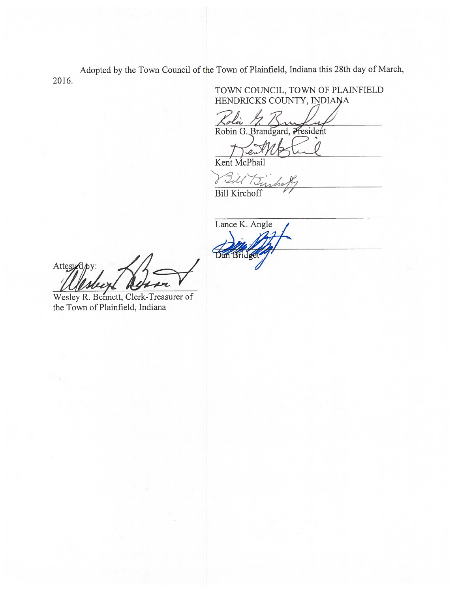Adopted by the Town Council of the Town of Plainfield, Indiana this 28th day of March, 2016.

TOWN COUNCIL, TOWN OF PLAINFIELD HENDRICKS COUNTY, INDIANA

Robin G. Brandgard, President Kolii

Kent McPhail

Till Turks

Bill Kirchoff

Lance K. Angle **Ban Bridge** 

Attested by

Wesley R. Bennett, Clerk-Treasurer of the Town of Plainfield, Indiana